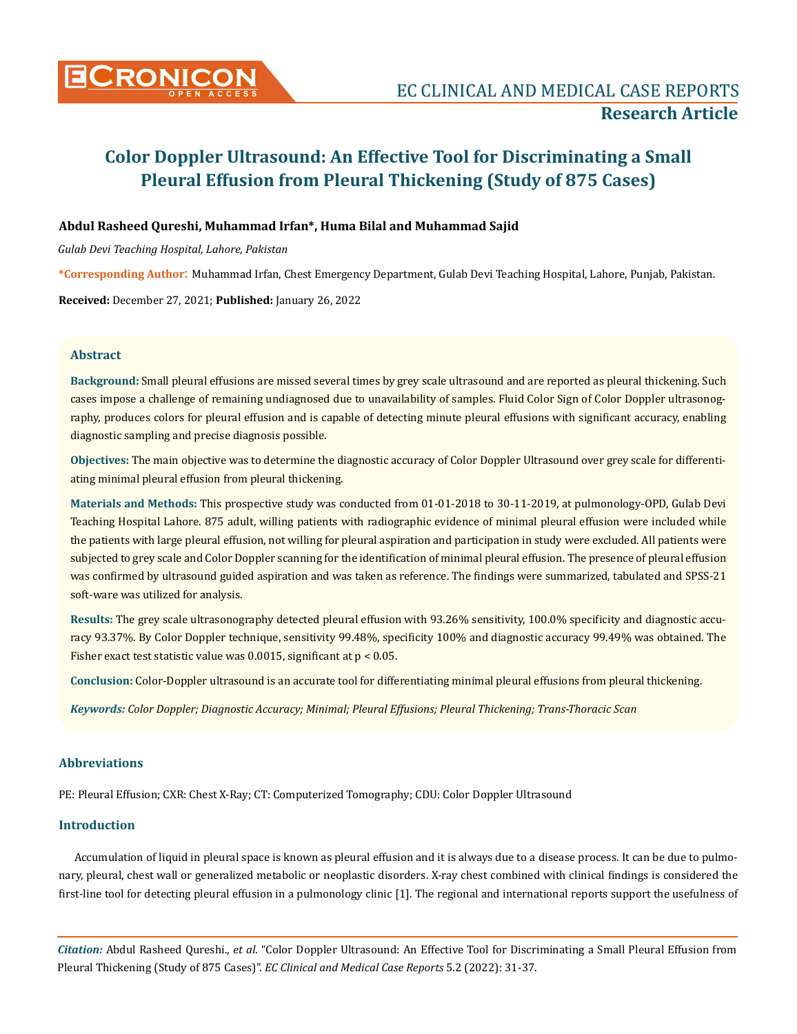

# **Abdul Rasheed Qureshi, Muhammad Irfan\*, Huma Bilal and Muhammad Sajid**

*Gulab Devi Teaching Hospital, Lahore, Pakistan*

**\*Corresponding Author**: Muhammad Irfan, Chest Emergency Department, Gulab Devi Teaching Hospital, Lahore, Punjab, Pakistan.

**Received:** December 27, 2021; **Published:** January 26, 2022

## **Abstract**

**Background:** Small pleural effusions are missed several times by grey scale ultrasound and are reported as pleural thickening. Such cases impose a challenge of remaining undiagnosed due to unavailability of samples. Fluid Color Sign of Color Doppler ultrasonography, produces colors for pleural effusion and is capable of detecting minute pleural effusions with significant accuracy, enabling diagnostic sampling and precise diagnosis possible.

**Objectives:** The main objective was to determine the diagnostic accuracy of Color Doppler Ultrasound over grey scale for differentiating minimal pleural effusion from pleural thickening.

**Materials and Methods:** This prospective study was conducted from 01-01-2018 to 30-11-2019, at pulmonology-OPD, Gulab Devi Teaching Hospital Lahore. 875 adult, willing patients with radiographic evidence of minimal pleural effusion were included while the patients with large pleural effusion, not willing for pleural aspiration and participation in study were excluded. All patients were subjected to grey scale and Color Doppler scanning for the identification of minimal pleural effusion. The presence of pleural effusion was confirmed by ultrasound guided aspiration and was taken as reference. The findings were summarized, tabulated and SPSS-21 soft-ware was utilized for analysis.

**Results:** The grey scale ultrasonography detected pleural effusion with 93.26% sensitivity, 100.0% specificity and diagnostic accuracy 93.37%. By Color Doppler technique, sensitivity 99.48%, specificity 100% and diagnostic accuracy 99.49% was obtained. The Fisher exact test statistic value was 0.0015, significant at p < 0.05.

**Conclusion:** Color-Doppler ultrasound is an accurate tool for differentiating minimal pleural effusions from pleural thickening.

*Keywords: Color Doppler; Diagnostic Accuracy; Minimal; Pleural Effusions; Pleural Thickening; Trans-Thoracic Scan*

## **Abbreviations**

PE: Pleural Effusion; CXR: Chest X-Ray; CT: Computerized Tomography; CDU: Color Doppler Ultrasound

#### **Introduction**

Accumulation of liquid in pleural space is known as pleural effusion and it is always due to a disease process. It can be due to pulmonary, pleural, chest wall or generalized metabolic or neoplastic disorders. X-ray chest combined with clinical findings is considered the first-line tool for detecting pleural effusion in a pulmonology clinic [1]. The regional and international reports support the usefulness of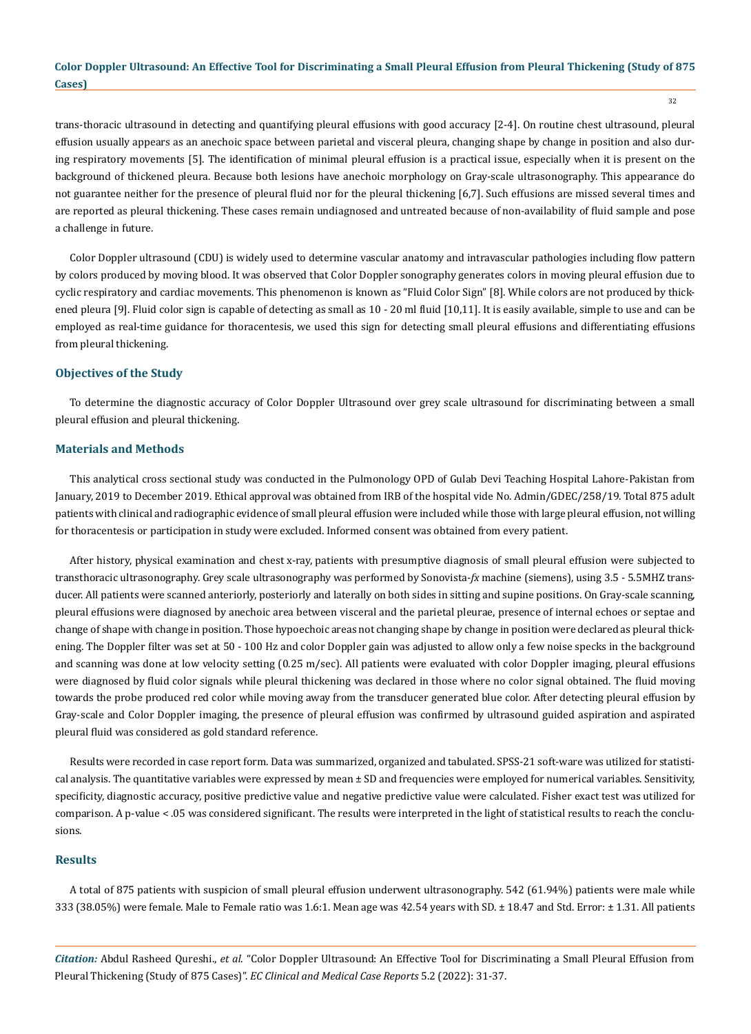32

trans-thoracic ultrasound in detecting and quantifying pleural effusions with good accuracy [2-4]. On routine chest ultrasound, pleural effusion usually appears as an anechoic space between parietal and visceral pleura, changing shape by change in position and also during respiratory movements [5]. The identification of minimal pleural effusion is a practical issue, especially when it is present on the background of thickened pleura. Because both lesions have anechoic morphology on Gray-scale ultrasonography. This appearance do not guarantee neither for the presence of pleural fluid nor for the pleural thickening [6,7]. Such effusions are missed several times and are reported as pleural thickening. These cases remain undiagnosed and untreated because of non-availability of fluid sample and pose a challenge in future.

Color Doppler ultrasound (CDU) is widely used to determine vascular anatomy and intravascular pathologies including flow pattern by colors produced by moving blood. It was observed that Color Doppler sonography generates colors in moving pleural effusion due to cyclic respiratory and cardiac movements. This phenomenon is known as "Fluid Color Sign" [8]. While colors are not produced by thickened pleura [9]. Fluid color sign is capable of detecting as small as 10 - 20 ml fluid [10,11]. It is easily available, simple to use and can be employed as real-time guidance for thoracentesis, we used this sign for detecting small pleural effusions and differentiating effusions from pleural thickening.

## **Objectives of the Study**

To determine the diagnostic accuracy of Color Doppler Ultrasound over grey scale ultrasound for discriminating between a small pleural effusion and pleural thickening.

## **Materials and Methods**

This analytical cross sectional study was conducted in the Pulmonology OPD of Gulab Devi Teaching Hospital Lahore-Pakistan from January, 2019 to December 2019. Ethical approval was obtained from IRB of the hospital vide No. Admin/GDEC/258/19. Total 875 adult patients with clinical and radiographic evidence of small pleural effusion were included while those with large pleural effusion, not willing for thoracentesis or participation in study were excluded. Informed consent was obtained from every patient.

After history, physical examination and chest x-ray, patients with presumptive diagnosis of small pleural effusion were subjected to transthoracic ultrasonography. Grey scale ultrasonography was performed by Sonovista-*fx* machine (siemens), using 3.5 - 5.5MHZ transducer. All patients were scanned anteriorly, posteriorly and laterally on both sides in sitting and supine positions. On Gray-scale scanning, pleural effusions were diagnosed by anechoic area between visceral and the parietal pleurae, presence of internal echoes or septae and change of shape with change in position. Those hypoechoic areas not changing shape by change in position were declared as pleural thickening. The Doppler filter was set at 50 - 100 Hz and color Doppler gain was adjusted to allow only a few noise specks in the background and scanning was done at low velocity setting (0.25 m/sec). All patients were evaluated with color Doppler imaging, pleural effusions were diagnosed by fluid color signals while pleural thickening was declared in those where no color signal obtained. The fluid moving towards the probe produced red color while moving away from the transducer generated blue color. After detecting pleural effusion by Gray-scale and Color Doppler imaging, the presence of pleural effusion was confirmed by ultrasound guided aspiration and aspirated pleural fluid was considered as gold standard reference.

Results were recorded in case report form. Data was summarized, organized and tabulated. SPSS-21 soft-ware was utilized for statistical analysis. The quantitative variables were expressed by mean  $\pm$  SD and frequencies were employed for numerical variables. Sensitivity, specificity, diagnostic accuracy, positive predictive value and negative predictive value were calculated. Fisher exact test was utilized for comparison. A p-value < .05 was considered significant. The results were interpreted in the light of statistical results to reach the conclusions.

# **Results**

A total of 875 patients with suspicion of small pleural effusion underwent ultrasonography. 542 (61.94%) patients were male while 333 (38.05%) were female. Male to Female ratio was 1.6:1. Mean age was 42.54 years with SD. ± 18.47 and Std. Error: ± 1.31. All patients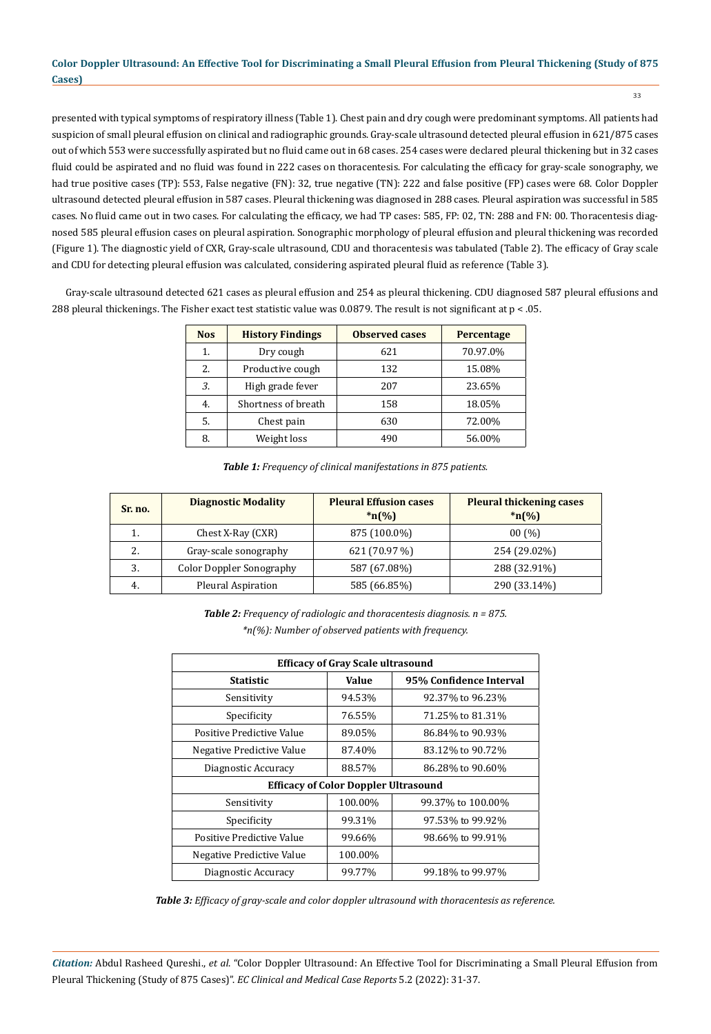presented with typical symptoms of respiratory illness (Table 1). Chest pain and dry cough were predominant symptoms. All patients had suspicion of small pleural effusion on clinical and radiographic grounds. Gray-scale ultrasound detected pleural effusion in 621/875 cases out of which 553 were successfully aspirated but no fluid came out in 68 cases. 254 cases were declared pleural thickening but in 32 cases fluid could be aspirated and no fluid was found in 222 cases on thoracentesis. For calculating the efficacy for gray-scale sonography, we had true positive cases (TP): 553, False negative (FN): 32, true negative (TN): 222 and false positive (FP) cases were 68. Color Doppler ultrasound detected pleural effusion in 587 cases. Pleural thickening was diagnosed in 288 cases. Pleural aspiration was successful in 585 cases. No fluid came out in two cases. For calculating the efficacy, we had TP cases: 585, FP: 02, TN: 288 and FN: 00. Thoracentesis diagnosed 585 pleural effusion cases on pleural aspiration. Sonographic morphology of pleural effusion and pleural thickening was recorded (Figure 1). The diagnostic yield of CXR, Gray-scale ultrasound, CDU and thoracentesis was tabulated (Table 2). The efficacy of Gray scale and CDU for detecting pleural effusion was calculated, considering aspirated pleural fluid as reference (Table 3).

Gray-scale ultrasound detected 621 cases as pleural effusion and 254 as pleural thickening. CDU diagnosed 587 pleural effusions and 288 pleural thickenings. The Fisher exact test statistic value was 0.0879. The result is not significant at p < .05.

| <b>Nos</b> | <b>History Findings</b> | <b>Observed cases</b> | Percentage |
|------------|-------------------------|-----------------------|------------|
| 1.         | Dry cough               | 621                   | 70.97.0%   |
| 2.         | Productive cough        | 132                   | 15.08%     |
| 3.         | High grade fever        | 207                   | 23.65%     |
| 4.         | Shortness of breath     | 158                   | 18.05%     |
| 5.         | Chest pain              | 630                   | 72.00%     |
| 8.         | Weight loss             | 490                   | 56.00%     |

*Table 1: Frequency of clinical manifestations in 875 patients.*

| Sr. no. | <b>Diagnostic Modality</b>      | <b>Pleural Effusion cases</b><br>$*_{n}(\%)$ | <b>Pleural thickening cases</b><br>$*_{n}(\%)$ |
|---------|---------------------------------|----------------------------------------------|------------------------------------------------|
|         | Chest X-Ray (CXR)               | 875 (100.0%)                                 | 00(%)                                          |
| 2.      | Gray-scale sonography           | 621 (70.97 %)                                | 254 (29.02%)                                   |
| 3.      | <b>Color Doppler Sonography</b> | 587 (67.08%)                                 | 288 (32.91%)                                   |
| 4.      | Pleural Aspiration              | 585 (66.85%)                                 | 290 (33.14%)                                   |

*Table 2: Frequency of radiologic and thoracentesis diagnosis. n = 875. \*n(%): Number of observed patients with frequency.*

| <b>Efficacy of Gray Scale ultrasound</b>    |         |                         |  |  |  |
|---------------------------------------------|---------|-------------------------|--|--|--|
| Statistic                                   | Value   | 95% Confidence Interval |  |  |  |
| Sensitivity                                 | 94.53%  | 92.37% to 96.23%        |  |  |  |
| Specificity                                 | 76.55%  | 71.25% to 81.31%        |  |  |  |
| Positive Predictive Value                   | 89.05%  | 86.84% to 90.93%        |  |  |  |
| Negative Predictive Value                   | 87.40%  | 83.12% to 90.72%        |  |  |  |
| Diagnostic Accuracy                         | 88.57%  | 86.28% to 90.60%        |  |  |  |
| <b>Efficacy of Color Doppler Ultrasound</b> |         |                         |  |  |  |
| Sensitivity                                 | 100.00% | 99.37% to 100.00%       |  |  |  |
| Specificity                                 | 99.31%  | 97.53% to 99.92%        |  |  |  |
| Positive Predictive Value                   | 99.66%  | 98.66% to 99.91%        |  |  |  |
| Negative Predictive Value                   | 100.00% |                         |  |  |  |
| Diagnostic Accuracy                         | 99.77%  | 99.18% to 99.97%        |  |  |  |

*Table 3: Efficacy of gray-scale and color doppler ultrasound with thoracentesis as reference.*

*Citation:* Abdul Rasheed Qureshi., *et al*. "Color Doppler Ultrasound: An Effective Tool for Discriminating a Small Pleural Effusion from Pleural Thickening (Study of 875 Cases)". *EC Clinical and Medical Case Reports* 5.2 (2022): 31-37.

33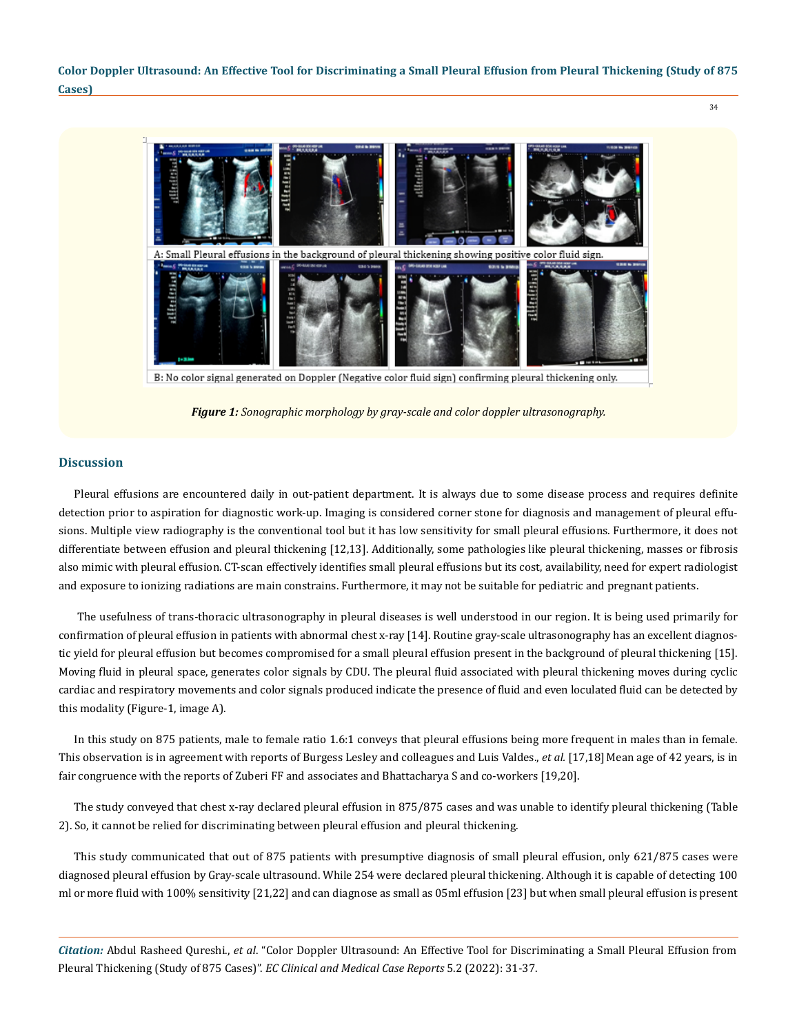

B: No color signal generated on Doppler (Negative color fluid sign) confirming pleural thickening only.

*Figure 1: Sonographic morphology by gray-scale and color doppler ultrasonography.*

#### **Discussion**

Pleural effusions are encountered daily in out-patient department. It is always due to some disease process and requires definite detection prior to aspiration for diagnostic work-up. Imaging is considered corner stone for diagnosis and management of pleural effusions. Multiple view radiography is the conventional tool but it has low sensitivity for small pleural effusions. Furthermore, it does not differentiate between effusion and pleural thickening [12,13]. Additionally, some pathologies like pleural thickening, masses or fibrosis also mimic with pleural effusion. CT-scan effectively identifies small pleural effusions but its cost, availability, need for expert radiologist and exposure to ionizing radiations are main constrains. Furthermore, it may not be suitable for pediatric and pregnant patients.

 The usefulness of trans-thoracic ultrasonography in pleural diseases is well understood in our region. It is being used primarily for confirmation of pleural effusion in patients with abnormal chest x-ray [14]. Routine gray-scale ultrasonography has an excellent diagnostic yield for pleural effusion but becomes compromised for a small pleural effusion present in the background of pleural thickening [15]. Moving fluid in pleural space, generates color signals by CDU. The pleural fluid associated with pleural thickening moves during cyclic cardiac and respiratory movements and color signals produced indicate the presence of fluid and even loculated fluid can be detected by this modality (Figure-1, image A).

In this study on 875 patients, male to female ratio 1.6:1 conveys that pleural effusions being more frequent in males than in female. This observation is in agreement with reports of Burgess Lesley and colleagues and Luis Valdes., *et al.* [17,18] Mean age of 42 years, is in fair congruence with the reports of Zuberi FF and associates and Bhattacharya S and co-workers [19,20].

The study conveyed that chest x-ray declared pleural effusion in 875/875 cases and was unable to identify pleural thickening (Table 2). So, it cannot be relied for discriminating between pleural effusion and pleural thickening.

This study communicated that out of 875 patients with presumptive diagnosis of small pleural effusion, only 621/875 cases were diagnosed pleural effusion by Gray-scale ultrasound. While 254 were declared pleural thickening. Although it is capable of detecting 100 ml or more fluid with 100% sensitivity [21,22] and can diagnose as small as 05ml effusion [23] but when small pleural effusion is present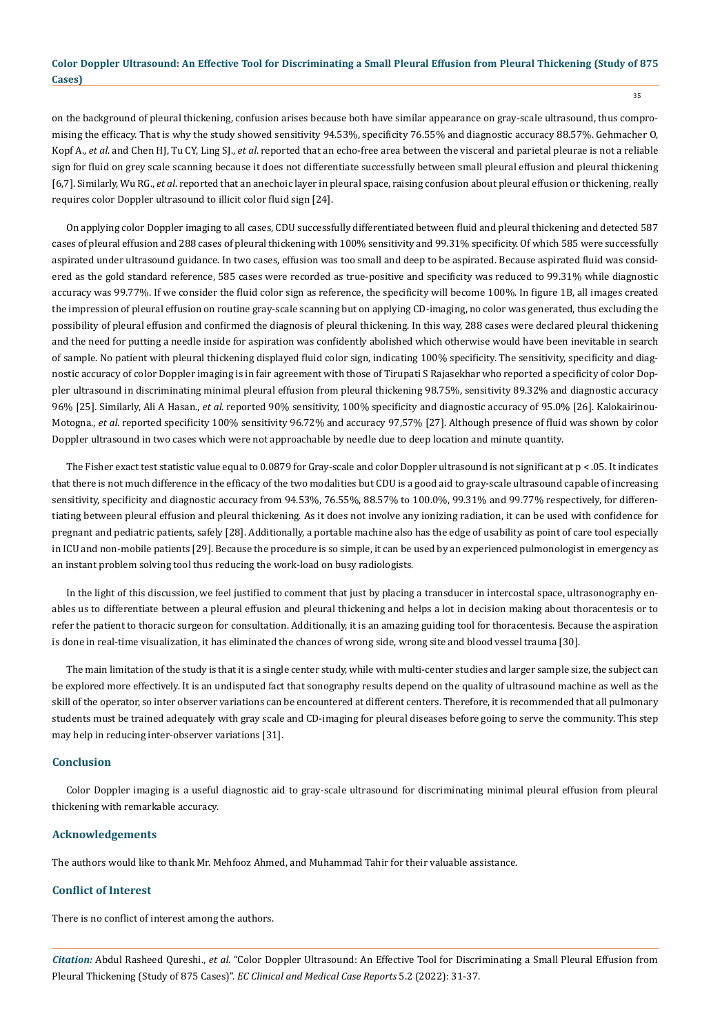on the background of pleural thickening, confusion arises because both have similar appearance on gray-scale ultrasound, thus compromising the efficacy. That is why the study showed sensitivity 94.53%, specificity 76.55% and diagnostic accuracy 88.57%. Gehmacher O, Kopf A., *et al*. and Chen HJ, Tu CY, Ling SJ., *et al*. reported that an echo-free area between the visceral and parietal pleurae is not a reliable sign for fluid on grey scale scanning because it does not differentiate successfully between small pleural effusion and pleural thickening [6,7]. Similarly, Wu RG., *et al*. reported that an anechoic layer in pleural space, raising confusion about pleural effusion or thickening, really requires color Doppler ultrasound to illicit color fluid sign [24].

On applying color Doppler imaging to all cases, CDU successfully differentiated between fluid and pleural thickening and detected 587 cases of pleural effusion and 288 cases of pleural thickening with 100% sensitivity and 99.31% specificity. Of which 585 were successfully aspirated under ultrasound guidance. In two cases, effusion was too small and deep to be aspirated. Because aspirated fluid was considered as the gold standard reference, 585 cases were recorded as true-positive and specificity was reduced to 99.31% while diagnostic accuracy was 99.77%. If we consider the fluid color sign as reference, the specificity will become 100%. In figure 1B, all images created the impression of pleural effusion on routine gray-scale scanning but on applying CD-imaging, no color was generated, thus excluding the possibility of pleural effusion and confirmed the diagnosis of pleural thickening. In this way, 288 cases were declared pleural thickening and the need for putting a needle inside for aspiration was confidently abolished which otherwise would have been inevitable in search of sample. No patient with pleural thickening displayed fluid color sign, indicating 100% specificity. The sensitivity, specificity and diagnostic accuracy of color Doppler imaging is in fair agreement with those of Tirupati S Rajasekhar who reported a specificity of color Doppler ultrasound in discriminating minimal pleural effusion from pleural thickening 98.75%, sensitivity 89.32% and diagnostic accuracy 96% [25]. Similarly, Ali A Hasan., *et al*. reported 90% sensitivity, 100% specificity and diagnostic accuracy of 95.0% [26]. Kalokairinou-Motogna., *et al*. reported specificity 100% sensitivity 96.72% and accuracy 97,57% [27]. Although presence of fluid was shown by color Doppler ultrasound in two cases which were not approachable by needle due to deep location and minute quantity.

The Fisher exact test statistic value equal to 0.0879 for Gray-scale and color Doppler ultrasound is not significant at  $p < 0.05$ . It indicates that there is not much difference in the efficacy of the two modalities but CDU is a good aid to gray-scale ultrasound capable of increasing sensitivity, specificity and diagnostic accuracy from 94.53%, 76.55%, 88.57% to 100.0%, 99.31% and 99.77% respectively, for differentiating between pleural effusion and pleural thickening. As it does not involve any ionizing radiation, it can be used with confidence for pregnant and pediatric patients, safely [28]. Additionally, a portable machine also has the edge of usability as point of care tool especially in ICU and non-mobile patients [29]. Because the procedure is so simple, it can be used by an experienced pulmonologist in emergency as an instant problem solving tool thus reducing the work-load on busy radiologists.

In the light of this discussion, we feel justified to comment that just by placing a transducer in intercostal space, ultrasonography enables us to differentiate between a pleural effusion and pleural thickening and helps a lot in decision making about thoracentesis or to refer the patient to thoracic surgeon for consultation. Additionally, it is an amazing guiding tool for thoracentesis. Because the aspiration is done in real-time visualization, it has eliminated the chances of wrong side, wrong site and blood vessel trauma [30].

The main limitation of the study is that it is a single center study, while with multi-center studies and larger sample size, the subject can be explored more effectively. It is an undisputed fact that sonography results depend on the quality of ultrasound machine as well as the skill of the operator, so inter observer variations can be encountered at different centers. Therefore, it is recommended that all pulmonary students must be trained adequately with gray scale and CD-imaging for pleural diseases before going to serve the community. This step may help in reducing inter-observer variations [31].

## **Conclusion**

Color Doppler imaging is a useful diagnostic aid to gray-scale ultrasound for discriminating minimal pleural effusion from pleural thickening with remarkable accuracy.

#### **Acknowledgements**

The authors would like to thank Mr. Mehfooz Ahmed, and Muhammad Tahir for their valuable assistance.

## **Conflict of Interest**

There is no conflict of interest among the authors.

*Citation:* Abdul Rasheed Qureshi., *et al*. "Color Doppler Ultrasound: An Effective Tool for Discriminating a Small Pleural Effusion from Pleural Thickening (Study of 875 Cases)". *EC Clinical and Medical Case Reports* 5.2 (2022): 31-37.

35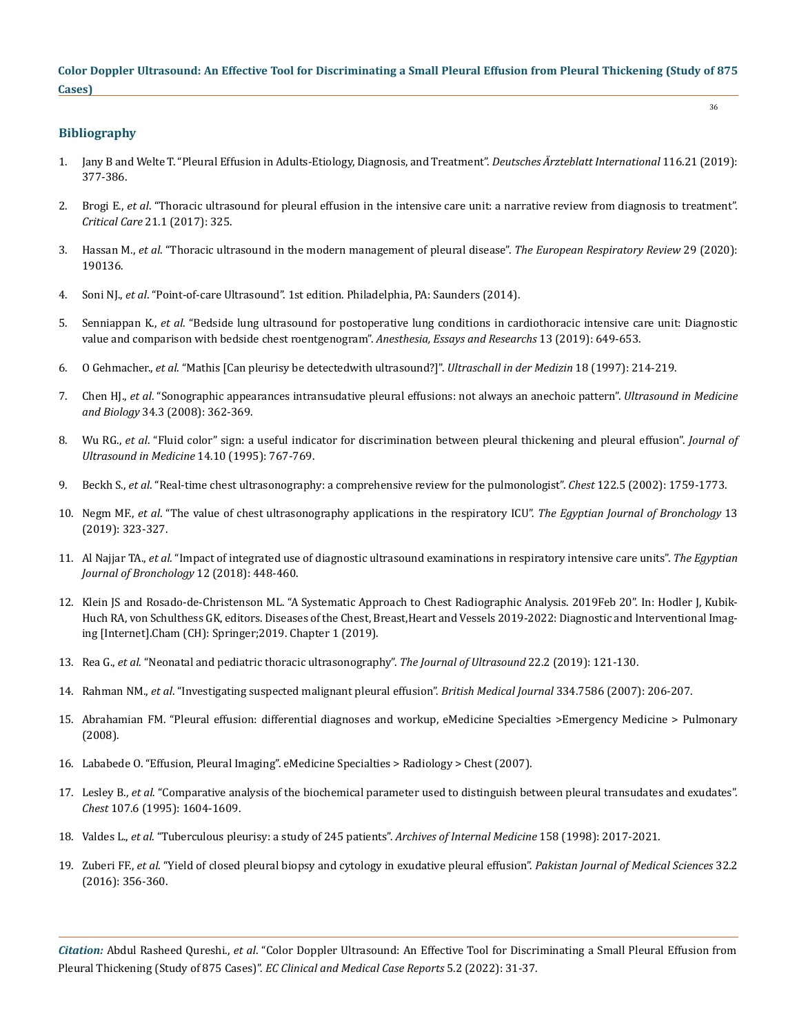36

## **Bibliography**

- 1. [Jany B and Welte T. "Pleural Effusion in Adults-Etiology, Diagnosis, and Treatment".](https://www.ncbi.nlm.nih.gov/pmc/articles/PMC6647819/) *Deutsches Ärzteblatt International* 116.21 (2019): [377-386.](https://www.ncbi.nlm.nih.gov/pmc/articles/PMC6647819/)
- 2. Brogi E., *et al*[. "Thoracic ultrasound for pleural effusion in the intensive care unit: a narrative review from diagnosis to treatment".](https://pubmed.ncbi.nlm.nih.gov/29282107/)  *Critical Care* [21.1 \(2017\): 325.](https://pubmed.ncbi.nlm.nih.gov/29282107/)
- 3. Hassan M., *et al*[. "Thoracic ultrasound in the modern management of pleural disease".](https://err.ersjournals.com/content/29/156/190136) *The European Respiratory Review* 29 (2020): [190136.](https://err.ersjournals.com/content/29/156/190136)
- 4. Soni NJ., *et al*. "Point-of-care Ultrasound". 1st edition. Philadelphia, PA: Saunders (2014).
- 5. Senniappan K., *et al*[. "Bedside lung ultrasound for postoperative lung conditions in cardiothoracic intensive care unit: Diagnostic](https://pubmed.ncbi.nlm.nih.gov/32009710/)  [value and comparison with bedside chest roentgenogram".](https://pubmed.ncbi.nlm.nih.gov/32009710/) *Anesthesia, Essays and Researchs* 13 (2019): 649-653.
- 6. O Gehmacher., *et al*[. "Mathis \[Can pleurisy be detectedwith ultrasound?\]".](https://pubmed.ncbi.nlm.nih.gov/9441389/) *Ultraschall in der Medizin* 18 (1997): 214-219.
- 7. Chen HJ., *et al*[. "Sonographic appearances intransudative pleural effusions: not always an anechoic pattern".](https://www.researchgate.net/publication/5851229_Sonographic_Appearances_in_Transudative_Pleural_Effusions_Not_Always_an_Anechoic_Pattern) *Ultrasound in Medicine and Biology* [34.3 \(2008\): 362-369.](https://www.researchgate.net/publication/5851229_Sonographic_Appearances_in_Transudative_Pleural_Effusions_Not_Always_an_Anechoic_Pattern)
- 8. Wu RG., *et al*[. "Fluid color" sign: a useful indicator for discrimination between pleural thickening and pleural effusion".](https://pubmed.ncbi.nlm.nih.gov/8544244/) *Journal of [Ultrasound in Medicine](https://pubmed.ncbi.nlm.nih.gov/8544244/)* 14.10 (1995): 767-769.
- 9. Beckh S., *et al*[. "Real-time chest ultrasonography: a comprehensive review for the pulmonologist".](https://pubmed.ncbi.nlm.nih.gov/12426282/) *Chest* 122.5 (2002): 1759-1773.
- 10. Negm MF., *et al*[. "The value of chest ultrasonography applications in the respiratory ICU".](https://www.youtube.com/watch?v=Xna3I11v9Vs) *The Egyptian Journal of Bronchology* 13 [\(2019\): 323-327.](https://www.youtube.com/watch?v=Xna3I11v9Vs)
- 11. Al Najjar TA., *et al*[. "Impact of integrated use of diagnostic ultrasound examinations in respiratory intensive care units".](https://ejb.springeropen.com/articles/10.4103/ejb.ejb_56_18) *The Egyptian [Journal of Bronchology](https://ejb.springeropen.com/articles/10.4103/ejb.ejb_56_18)* 12 (2018): 448-460.
- 12. [Klein JS and Rosado-de-Christenson ML. "A Systematic Approach to Chest Radiographic Analysis. 2019Feb 20". In: Hodler J, Kubik-](https://pubmed.ncbi.nlm.nih.gov/32096946/)[Huch RA, von Schulthess GK, editors. Diseases of the Chest, Breast,Heart and Vessels 2019-2022: Diagnostic and Interventional Imag](https://pubmed.ncbi.nlm.nih.gov/32096946/)[ing \[Internet\].Cham \(CH\): Springer;2019. Chapter 1 \(2019\).](https://pubmed.ncbi.nlm.nih.gov/32096946/)
- 13. Rea G., *et al*[. "Neonatal and pediatric thoracic ultrasonography".](https://pubmed.ncbi.nlm.nih.gov/30778892/) *The Journal of Ultrasound* 22.2 (2019): 121-130.
- 14. Rahman NM., *et al*[. "Investigating suspected malignant pleural effusion".](https://www.ncbi.nlm.nih.gov/pmc/articles/PMC1782026/) *British Medical Journal* 334.7586 (2007): 206-207.
- 15. [Abrahamian FM. "Pleural effusion: differential diagnoses and workup, eMedicine Specialties >Emergency Medicine > Pulmonary](https://emedicine.medscape.com/article/299959-differential)  [\(2008\).](https://emedicine.medscape.com/article/299959-differential)
- 16. Lababede O. "Effusion, Pleural Imaging". eMedicine Specialties > Radiology > Chest (2007).
- 17. Lesley B., *et al*[. "Comparative analysis of the biochemical parameter used to distinguish between pleural transudates and exudates".](https://pubmed.ncbi.nlm.nih.gov/7781354/)  *Chest* [107.6 \(1995\): 1604-1609.](https://pubmed.ncbi.nlm.nih.gov/7781354/)
- 18. Valdes L., *et al*[. "Tuberculous pleurisy: a study of 245 patients".](https://pubmed.ncbi.nlm.nih.gov/9778201/) *Archives of Internal Medicine* 158 (1998): 2017-2021.
- 19. Zuberi FF., *et al*[. "Yield of closed pleural biopsy and cytology in exudative pleural effusion".](https://www.ncbi.nlm.nih.gov/pmc/articles/PMC4859022/) *Pakistan Journal of Medical Sciences* 32.2 [\(2016\): 356-360.](https://www.ncbi.nlm.nih.gov/pmc/articles/PMC4859022/)